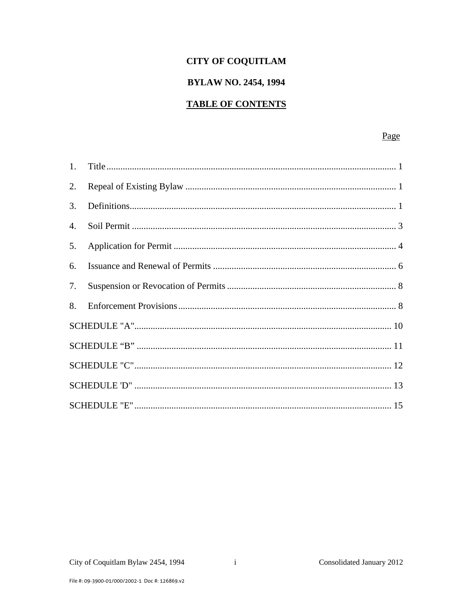## **CITY OF COQUITLAM**

## **BYLAW NO. 2454, 1994**

# **TABLE OF CONTENTS**

## Page

| 2. |  |  |  |
|----|--|--|--|
| 3. |  |  |  |
| 4. |  |  |  |
| 5. |  |  |  |
| 6. |  |  |  |
| 7. |  |  |  |
| 8. |  |  |  |
|    |  |  |  |
|    |  |  |  |
|    |  |  |  |
|    |  |  |  |
|    |  |  |  |

 $\mathbf{i}$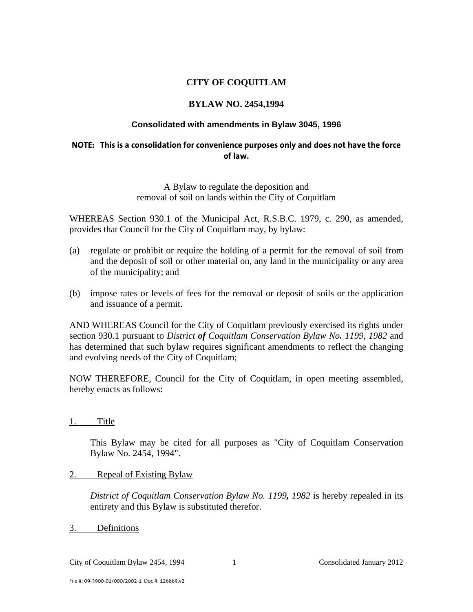## **CITY OF COQUITLAM**

### **BYLAW NO. 2454,1994**

#### **Consolidated with amendments in Bylaw 3045, 1996**

#### **NOTE: This is a consolidation for convenience purposes only and does not have the force of law.**

A Bylaw to regulate the deposition and removal of soil on lands within the City of Coquitlam

WHEREAS Section 930.1 of the Municipal Act, R.S.B.C. 1979, c. 290, as amended, provides that Council for the City of Coquitlam may, by bylaw:

- (a) regulate or prohibit or require the holding of a permit for the removal of soil from and the deposit of soil or other material on, any land in the municipality or any area of the municipality; and
- (b) impose rates or levels of fees for the removal or deposit of soils or the application and issuance of a permit.

AND WHEREAS Council for the City of Coquitlam previously exercised its rights under section 930.1 pursuant to *District of Coquitlam Conservation Bylaw No. 1199, 1982* and has determined that such bylaw requires significant amendments to reflect the changing and evolving needs of the City of Coquitlam;

NOW THEREFORE, Council for the City of Coquitlam, in open meeting assembled, hereby enacts as follows:

1. Title

 This Bylaw may be cited for all purposes as "City of Coquitlam Conservation Bylaw No. 2454, 1994".

#### 2. Repeal of Existing Bylaw

*District of Coquitlam Conservation Bylaw No. 1199, 1982* is hereby repealed in its entirety and this Bylaw is substituted therefor.

3. Definitions

City of Coquitlam Bylaw 2454, 1994 1 Consolidated January 2012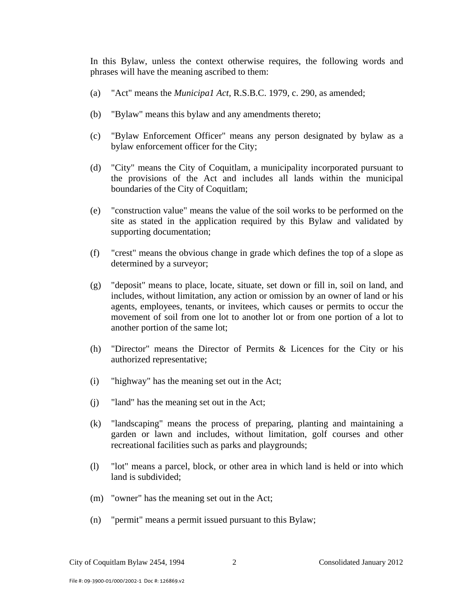In this Bylaw, unless the context otherwise requires, the following words and phrases will have the meaning ascribed to them:

- (a) "Act" means the *Municipa1 Act*, R.S.B.C. 1979, c. 290, as amended;
- (b) "Bylaw" means this bylaw and any amendments thereto;
- (c) "Bylaw Enforcement Officer" means any person designated by bylaw as a bylaw enforcement officer for the City;
- (d) "City" means the City of Coquitlam, a municipality incorporated pursuant to the provisions of the Act and includes all lands within the municipal boundaries of the City of Coquitlam;
- (e) "construction value" means the value of the soil works to be performed on the site as stated in the application required by this Bylaw and validated by supporting documentation;
- (f) "crest" means the obvious change in grade which defines the top of a slope as determined by a surveyor;
- (g) "deposit" means to place, locate, situate, set down or fill in, soil on land, and includes, without limitation, any action or omission by an owner of land or his agents, employees, tenants, or invitees, which causes or permits to occur the movement of soil from one lot to another lot or from one portion of a lot to another portion of the same lot;
- (h) "Director" means the Director of Permits & Licences for the City or his authorized representative;
- (i) "highway" has the meaning set out in the Act;
- (j) "land" has the meaning set out in the Act;
- (k) "landscaping" means the process of preparing, planting and maintaining a garden or lawn and includes, without limitation, golf courses and other recreational facilities such as parks and playgrounds;
- (l) "lot" means a parcel, block, or other area in which land is held or into which land is subdivided;
- (m) "owner" has the meaning set out in the Act;
- (n) "permit" means a permit issued pursuant to this Bylaw;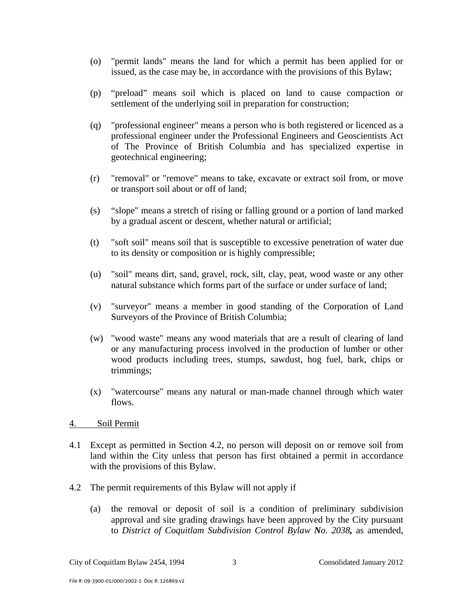- (o) "permit lands" means the land for which a permit has been applied for or issued, as the case may be, in accordance with the provisions of this Bylaw;
- (p) "preload" means soil which is placed on land to cause compaction or settlement of the underlying soil in preparation for construction;
- (q) "professional engineer" means a person who is both registered or licenced as a professional engineer under the Professional Engineers and Geoscientists Act of The Province of British Columbia and has specialized expertise in geotechnical engineering;
- (r) "removal" or "remove" means to take, excavate or extract soil from, or move or transport soil about or off of land;
- (s) "slope" means a stretch of rising or falling ground or a portion of land marked by a gradual ascent or descent, whether natural or artificial;
- (t) "soft soil" means soil that is susceptible to excessive penetration of water due to its density or composition or is highly compressible;
- (u) "soil" means dirt, sand, gravel, rock, silt, clay, peat, wood waste or any other natural substance which forms part of the surface or under surface of land;
- (v) "surveyor" means a member in good standing of the Corporation of Land Surveyors of the Province of British Columbia;
- (w) "wood waste" means any wood materials that are a result of clearing of land or any manufacturing process involved in the production of lumber or other wood products including trees, stumps, sawdust, hog fuel, bark, chips or trimmings;
- (x) "watercourse" means any natural or man-made channel through which water flows.
- 4. Soil Permit
- 4.1 Except as permitted in Section 4.2, no person will deposit on or remove soil from land within the City unless that person has first obtained a permit in accordance with the provisions of this Bylaw.
- 4.2 The permit requirements of this Bylaw will not apply if
	- (a) the removal or deposit of soil is a condition of preliminary subdivision approval and site grading drawings have been approved by the City pursuant to *District of Coquitlam Subdivision Control Bylaw No. 2038,* as amended,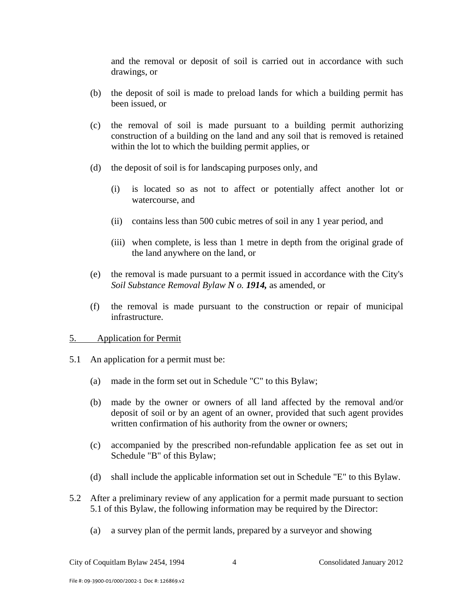and the removal or deposit of soil is carried out in accordance with such drawings, or

- (b) the deposit of soil is made to preload lands for which a building permit has been issued, or
- (c) the removal of soil is made pursuant to a building permit authorizing construction of a building on the land and any soil that is removed is retained within the lot to which the building permit applies, or
- (d) the deposit of soil is for landscaping purposes only, and
	- (i) is located so as not to affect or potentially affect another lot or watercourse, and
	- (ii) contains less than 500 cubic metres of soil in any 1 year period, and
	- (iii) when complete, is less than 1 metre in depth from the original grade of the land anywhere on the land, or
- (e) the removal is made pursuant to a permit issued in accordance with the City's *Soil Substance Removal Bylaw N o. 1914,* as amended, or
- (f) the removal is made pursuant to the construction or repair of municipal infrastructure.

#### 5. Application for Permit

- 5.1 An application for a permit must be:
	- (a) made in the form set out in Schedule "C" to this Bylaw;
	- (b) made by the owner or owners of all land affected by the removal and/or deposit of soil or by an agent of an owner, provided that such agent provides written confirmation of his authority from the owner or owners;
	- (c) accompanied by the prescribed non-refundable application fee as set out in Schedule "B" of this Bylaw;
	- (d) shall include the applicable information set out in Schedule "E" to this Bylaw.
- 5.2 After a preliminary review of any application for a permit made pursuant to section 5.1 of this Bylaw, the following information may be required by the Director:
	- (a) a survey plan of the permit lands, prepared by a surveyor and showing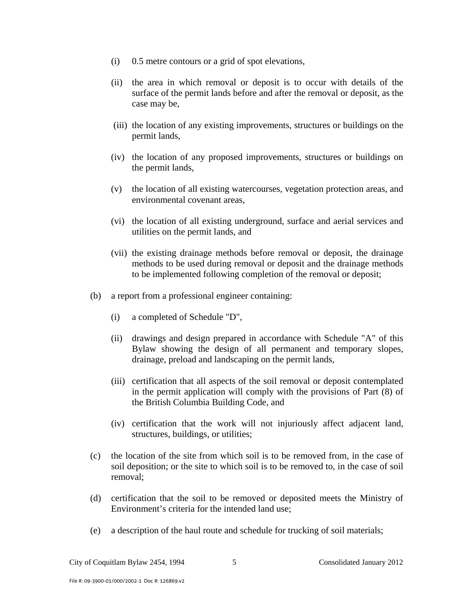- (i) 0.5 metre contours or a grid of spot elevations,
- (ii) the area in which removal or deposit is to occur with details of the surface of the permit lands before and after the removal or deposit, as the case may be,
- (iii) the location of any existing improvements, structures or buildings on the permit lands,
- (iv) the location of any proposed improvements, structures or buildings on the permit lands,
- (v) the location of all existing watercourses, vegetation protection areas, and environmental covenant areas,
- (vi) the location of all existing underground, surface and aerial services and utilities on the permit lands, and
- (vii) the existing drainage methods before removal or deposit, the drainage methods to be used during removal or deposit and the drainage methods to be implemented following completion of the removal or deposit;
- (b) a report from a professional engineer containing:
	- (i) a completed of Schedule "D",
	- (ii) drawings and design prepared in accordance with Schedule "A" of this Bylaw showing the design of all permanent and temporary slopes, drainage, preload and landscaping on the permit lands,
	- (iii) certification that all aspects of the soil removal or deposit contemplated in the permit application will comply with the provisions of Part (8) of the British Columbia Building Code, and
	- (iv) certification that the work will not injuriously affect adjacent land, structures, buildings, or utilities;
- (c) the location of the site from which soil is to be removed from, in the case of soil deposition; or the site to which soil is to be removed to, in the case of soil removal;
- (d) certification that the soil to be removed or deposited meets the Ministry of Environment's criteria for the intended land use;
- (e) a description of the haul route and schedule for trucking of soil materials;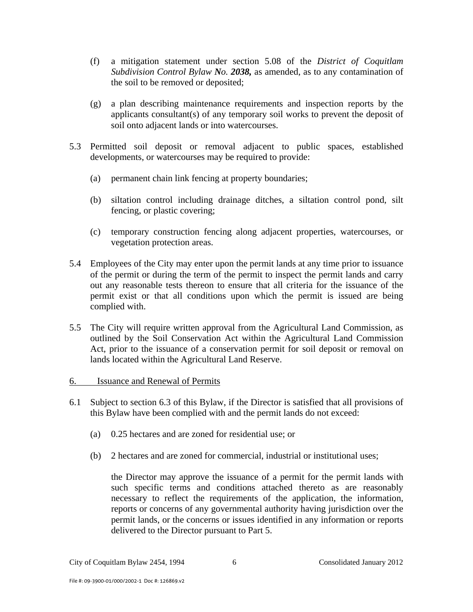- (f) a mitigation statement under section 5.08 of the *District of Coquitlam Subdivision Control Bylaw No. 2038,* as amended, as to any contamination of the soil to be removed or deposited;
- (g) a plan describing maintenance requirements and inspection reports by the applicants consultant(s) of any temporary soil works to prevent the deposit of soil onto adjacent lands or into watercourses.
- 5.3 Permitted soil deposit or removal adjacent to public spaces, established developments, or watercourses may be required to provide:
	- (a) permanent chain link fencing at property boundaries;
	- (b) siltation control including drainage ditches, a siltation control pond, silt fencing, or plastic covering;
	- (c) temporary construction fencing along adjacent properties, watercourses, or vegetation protection areas.
- 5.4 Employees of the City may enter upon the permit lands at any time prior to issuance of the permit or during the term of the permit to inspect the permit lands and carry out any reasonable tests thereon to ensure that all criteria for the issuance of the permit exist or that all conditions upon which the permit is issued are being complied with.
- 5.5 The City will require written approval from the Agricultural Land Commission, as outlined by the Soil Conservation Act within the Agricultural Land Commission Act, prior to the issuance of a conservation permit for soil deposit or removal on lands located within the Agricultural Land Reserve.

#### 6. Issuance and Renewal of Permits

- 6.1 Subject to section 6.3 of this Bylaw, if the Director is satisfied that all provisions of this Bylaw have been complied with and the permit lands do not exceed:
	- (a) 0.25 hectares and are zoned for residential use; or
	- (b) 2 hectares and are zoned for commercial, industrial or institutional uses;

the Director may approve the issuance of a permit for the permit lands with such specific terms and conditions attached thereto as are reasonably necessary to reflect the requirements of the application, the information, reports or concerns of any governmental authority having jurisdiction over the permit lands, or the concerns or issues identified in any information or reports delivered to the Director pursuant to Part 5.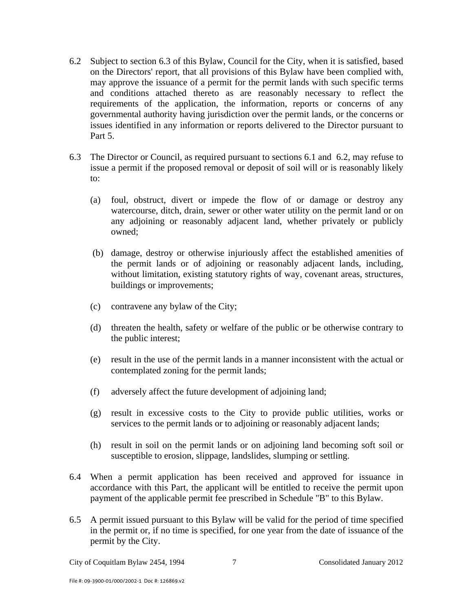- 6.2 Subject to section 6.3 of this Bylaw, Council for the City, when it is satisfied, based on the Directors' report, that all provisions of this Bylaw have been complied with, may approve the issuance of a permit for the permit lands with such specific terms and conditions attached thereto as are reasonably necessary to reflect the requirements of the application, the information, reports or concerns of any governmental authority having jurisdiction over the permit lands, or the concerns or issues identified in any information or reports delivered to the Director pursuant to Part 5.
- 6.3 The Director or Council, as required pursuant to sections 6.1 and 6.2, may refuse to issue a permit if the proposed removal or deposit of soil will or is reasonably likely to:
	- (a) foul, obstruct, divert or impede the flow of or damage or destroy any watercourse, ditch, drain, sewer or other water utility on the permit land or on any adjoining or reasonably adjacent land, whether privately or publicly owned;
	- (b) damage, destroy or otherwise injuriously affect the established amenities of the permit lands or of adjoining or reasonably adjacent lands, including, without limitation, existing statutory rights of way, covenant areas, structures, buildings or improvements;
	- (c) contravene any bylaw of the City;
	- (d) threaten the health, safety or welfare of the public or be otherwise contrary to the public interest;
	- (e) result in the use of the permit lands in a manner inconsistent with the actual or contemplated zoning for the permit lands;
	- (f) adversely affect the future development of adjoining land;
	- (g) result in excessive costs to the City to provide public utilities, works or services to the permit lands or to adjoining or reasonably adjacent lands;
	- (h) result in soil on the permit lands or on adjoining land becoming soft soil or susceptible to erosion, slippage, landslides, slumping or settling.
- 6.4 When a permit application has been received and approved for issuance in accordance with this Part, the applicant will be entitled to receive the permit upon payment of the applicable permit fee prescribed in Schedule "B" to this Bylaw.
- 6.5 A permit issued pursuant to this Bylaw will be valid for the period of time specified in the permit or, if no time is specified, for one year from the date of issuance of the permit by the City.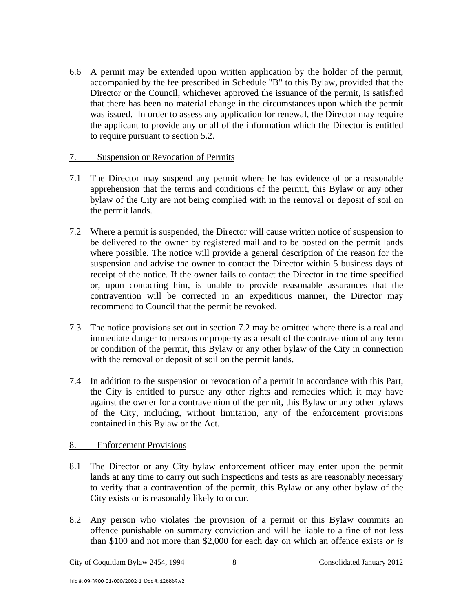6.6 A permit may be extended upon written application by the holder of the permit, accompanied by the fee prescribed in Schedule "B" to this Bylaw, provided that the Director or the Council, whichever approved the issuance of the permit, is satisfied that there has been no material change in the circumstances upon which the permit was issued. In order to assess any application for renewal, the Director may require the applicant to provide any or all of the information which the Director is entitled to require pursuant to section 5.2.

#### 7. Suspension or Revocation of Permits

- 7.1 The Director may suspend any permit where he has evidence of or a reasonable apprehension that the terms and conditions of the permit, this Bylaw or any other bylaw of the City are not being complied with in the removal or deposit of soil on the permit lands.
- 7.2 Where a permit is suspended, the Director will cause written notice of suspension to be delivered to the owner by registered mail and to be posted on the permit lands where possible. The notice will provide a general description of the reason for the suspension and advise the owner to contact the Director within 5 business days of receipt of the notice. If the owner fails to contact the Director in the time specified or, upon contacting him, is unable to provide reasonable assurances that the contravention will be corrected in an expeditious manner, the Director may recommend to Council that the permit be revoked.
- 7.3 The notice provisions set out in section 7.2 may be omitted where there is a real and immediate danger to persons or property as a result of the contravention of any term or condition of the permit, this Bylaw or any other bylaw of the City in connection with the removal or deposit of soil on the permit lands.
- 7.4 In addition to the suspension or revocation of a permit in accordance with this Part, the City is entitled to pursue any other rights and remedies which it may have against the owner for a contravention of the permit, this Bylaw or any other bylaws of the City, including, without limitation, any of the enforcement provisions contained in this Bylaw or the Act.

#### 8. Enforcement Provisions

- 8.1 The Director or any City bylaw enforcement officer may enter upon the permit lands at any time to carry out such inspections and tests as are reasonably necessary to verify that a contravention of the permit, this Bylaw or any other bylaw of the City exists or is reasonably likely to occur.
- 8.2 Any person who violates the provision of a permit or this Bylaw commits an offence punishable on summary conviction and will be liable to a fine of not less than \$100 and not more than \$2,000 for each day on which an offence exists *or is*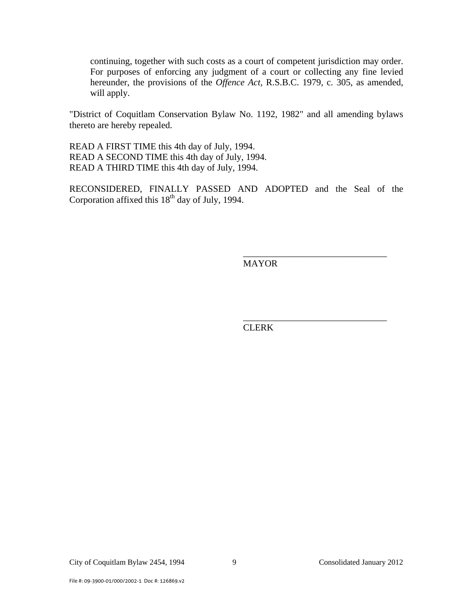continuing, together with such costs as a court of competent jurisdiction may order. For purposes of enforcing any judgment of a court or collecting any fine levied hereunder, the provisions of the *Offence Act,* R.S.B.C. 1979, c. 305, as amended, will apply.

"District of Coquitlam Conservation Bylaw No. 1192, 1982" and all amending bylaws thereto are hereby repealed.

READ A FIRST TIME this 4th day of July, 1994. READ A SECOND TIME this 4th day of July, 1994. READ A THIRD TIME this 4th day of July, 1994.

RECONSIDERED, FINALLY PASSED AND ADOPTED and the Seal of the Corporation affixed this  $18<sup>th</sup>$  day of July, 1994.

 $\overline{\phantom{a}}$  , and the contract of the contract of the contract of the contract of the contract of the contract of the contract of the contract of the contract of the contract of the contract of the contract of the contrac

 $\frac{1}{\sqrt{2\pi}}$  , which is a set of the set of the set of the set of the set of the set of the set of the set of the set of the set of the set of the set of the set of the set of the set of the set of the set of the set of

MAYOR

**CLERK**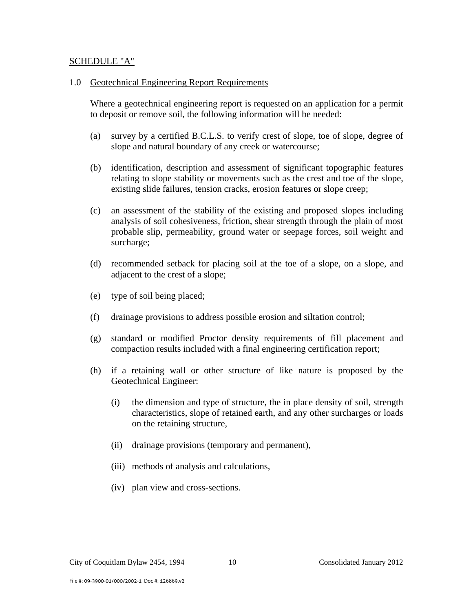#### SCHEDULE "A"

#### 1.0 Geotechnical Engineering Report Requirements

 Where a geotechnical engineering report is requested on an application for a permit to deposit or remove soil, the following information will be needed:

- (a) survey by a certified B.C.L.S. to verify crest of slope, toe of slope, degree of slope and natural boundary of any creek or watercourse;
- (b) identification, description and assessment of significant topographic features relating to slope stability or movements such as the crest and toe of the slope, existing slide failures, tension cracks, erosion features or slope creep;
- (c) an assessment of the stability of the existing and proposed slopes including analysis of soil cohesiveness, friction, shear strength through the plain of most probable slip, permeability, ground water or seepage forces, soil weight and surcharge;
- (d) recommended setback for placing soil at the toe of a slope, on a slope, and adjacent to the crest of a slope;
- (e) type of soil being placed;
- (f) drainage provisions to address possible erosion and siltation control;
- (g) standard or modified Proctor density requirements of fill placement and compaction results included with a final engineering certification report;
- (h) if a retaining wall or other structure of like nature is proposed by the Geotechnical Engineer:
	- (i) the dimension and type of structure, the in place density of soil, strength characteristics, slope of retained earth, and any other surcharges or loads on the retaining structure,
	- (ii) drainage provisions (temporary and permanent),
	- (iii) methods of analysis and calculations,
	- (iv) plan view and cross-sections.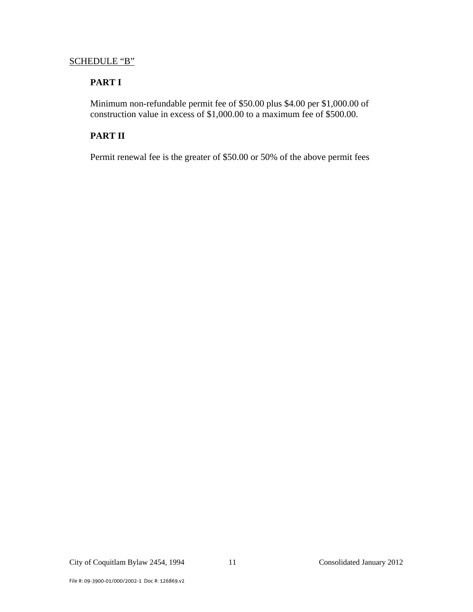### SCHEDULE "B"

## **PART I**

 Minimum non-refundable permit fee of \$50.00 plus \$4.00 per \$1,000.00 of construction value in excess of \$1,000.00 to a maximum fee of \$500.00.

## **PART II**

Permit renewal fee is the greater of \$50.00 or 50% of the above permit fees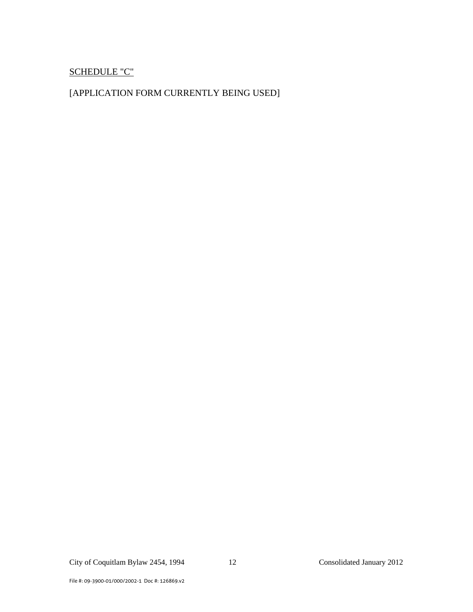## SCHEDULE "C"

## [APPLICATION FORM CURRENTLY BEING USED]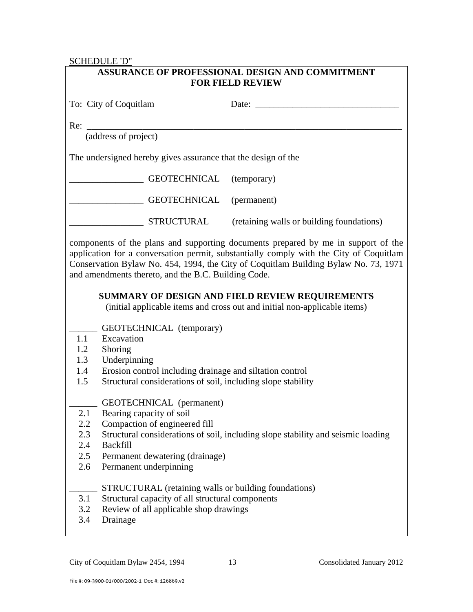### SCHEDULE 'D"

| ASSURANCE OF PROFESSIONAL DESIGN AND COMMITMENT<br><b>FOR FIELD REVIEW</b>                                                                                                                                                                                                                                                |                                                                                                                                                                                               |                                                                                  |  |  |
|---------------------------------------------------------------------------------------------------------------------------------------------------------------------------------------------------------------------------------------------------------------------------------------------------------------------------|-----------------------------------------------------------------------------------------------------------------------------------------------------------------------------------------------|----------------------------------------------------------------------------------|--|--|
|                                                                                                                                                                                                                                                                                                                           | To: City of Coquitlam                                                                                                                                                                         | Date: $\frac{1}{\sqrt{1-\frac{1}{2}} \cdot \frac{1}{2}}$                         |  |  |
| Re:                                                                                                                                                                                                                                                                                                                       |                                                                                                                                                                                               |                                                                                  |  |  |
| (address of project)                                                                                                                                                                                                                                                                                                      |                                                                                                                                                                                               |                                                                                  |  |  |
| The undersigned hereby gives assurance that the design of the                                                                                                                                                                                                                                                             |                                                                                                                                                                                               |                                                                                  |  |  |
|                                                                                                                                                                                                                                                                                                                           | <b>GEOTECHNICAL</b>                                                                                                                                                                           | (temporary)                                                                      |  |  |
|                                                                                                                                                                                                                                                                                                                           | GEOTECHNICAL                                                                                                                                                                                  | (permanent)                                                                      |  |  |
|                                                                                                                                                                                                                                                                                                                           | <b>STRUCTURAL</b>                                                                                                                                                                             | (retaining walls or building foundations)                                        |  |  |
| components of the plans and supporting documents prepared by me in support of the<br>application for a conversation permit, substantially comply with the City of Coquitlam<br>Conservation Bylaw No. 454, 1994, the City of Coquitlam Building Bylaw No. 73, 1971<br>and amendments thereto, and the B.C. Building Code. |                                                                                                                                                                                               |                                                                                  |  |  |
| SUMMARY OF DESIGN AND FIELD REVIEW REQUIREMENTS<br>(initial applicable items and cross out and initial non-applicable items)                                                                                                                                                                                              |                                                                                                                                                                                               |                                                                                  |  |  |
| 1.1<br>1.2<br>1.3<br>1.4<br>1.5                                                                                                                                                                                                                                                                                           | GEOTECHNICAL (temporary)<br>Excavation<br>Shoring<br>Underpinning<br>Erosion control including drainage and siltation control<br>Structural considerations of soil, including slope stability |                                                                                  |  |  |
| 2.1<br>2.2<br>2.3<br>2.4<br>$2.5\,$<br>2.6                                                                                                                                                                                                                                                                                | <b>GEOTECHNICAL</b> (permanent)<br>Bearing capacity of soil<br>Compaction of engineered fill<br><b>Backfill</b><br>Permanent dewatering (drainage)<br>Permanent underpinning                  | Structural considerations of soil, including slope stability and seismic loading |  |  |
| 3.1<br>3.2<br>3.4                                                                                                                                                                                                                                                                                                         | STRUCTURAL (retaining walls or building foundations)<br>Structural capacity of all structural components<br>Review of all applicable shop drawings<br>Drainage                                |                                                                                  |  |  |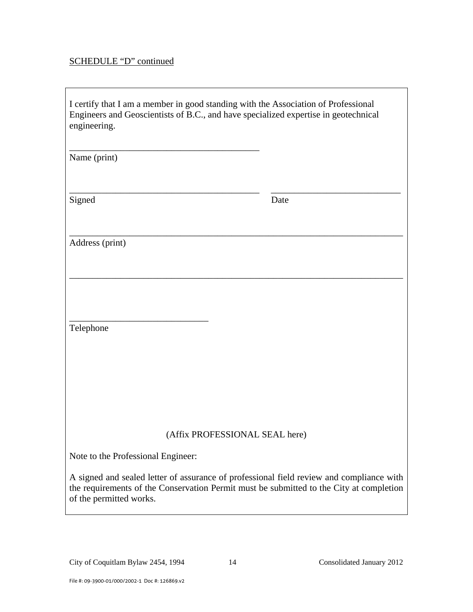# SCHEDULE "D" continued

| I certify that I am a member in good standing with the Association of Professional<br>Engineers and Geoscientists of B.C., and have specialized expertise in geotechnical<br>engineering.                      |      |  |  |
|----------------------------------------------------------------------------------------------------------------------------------------------------------------------------------------------------------------|------|--|--|
| Name (print)                                                                                                                                                                                                   |      |  |  |
| Signed                                                                                                                                                                                                         | Date |  |  |
| Address (print)                                                                                                                                                                                                |      |  |  |
|                                                                                                                                                                                                                |      |  |  |
| Telephone                                                                                                                                                                                                      |      |  |  |
|                                                                                                                                                                                                                |      |  |  |
| (Affix PROFESSIONAL SEAL here)                                                                                                                                                                                 |      |  |  |
| Note to the Professional Engineer:                                                                                                                                                                             |      |  |  |
| A signed and sealed letter of assurance of professional field review and compliance with<br>the requirements of the Conservation Permit must be submitted to the City at completion<br>of the permitted works. |      |  |  |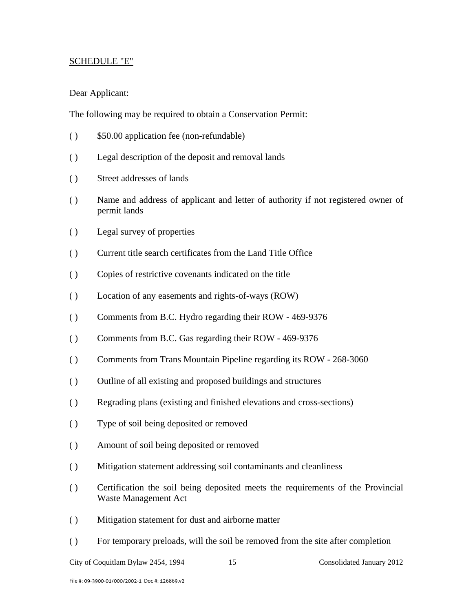#### SCHEDULE "E"

#### Dear Applicant:

The following may be required to obtain a Conservation Permit:

- ( ) \$50.00 application fee (non-refundable)
- ( ) Legal description of the deposit and removal lands
- ( ) Street addresses of lands
- ( ) Name and address of applicant and letter of authority if not registered owner of permit lands
- ( ) Legal survey of properties
- ( ) Current title search certificates from the Land Title Office
- ( ) Copies of restrictive covenants indicated on the title
- ( ) Location of any easements and rights-of-ways (ROW)
- ( ) Comments from B.C. Hydro regarding their ROW 469-9376
- ( ) Comments from B.C. Gas regarding their ROW 469-9376
- ( ) Comments from Trans Mountain Pipeline regarding its ROW 268-3060
- ( ) Outline of all existing and proposed buildings and structures
- ( ) Regrading plans (existing and finished elevations and cross-sections)
- ( ) Type of soil being deposited or removed
- ( ) Amount of soil being deposited or removed
- ( ) Mitigation statement addressing soil contaminants and cleanliness
- ( ) Certification the soil being deposited meets the requirements of the Provincial Waste Management Act
- ( ) Mitigation statement for dust and airborne matter
- ( ) For temporary preloads, will the soil be removed from the site after completion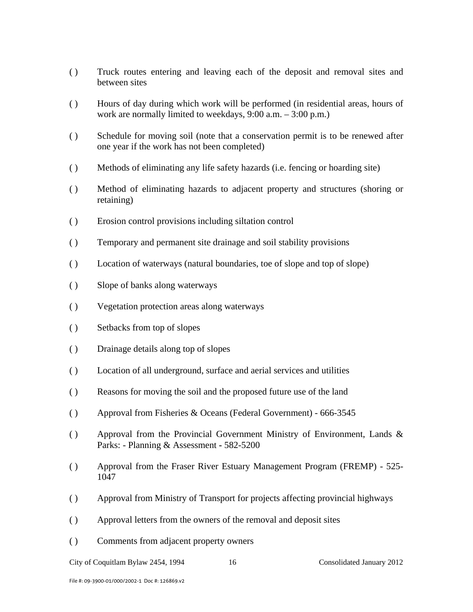- ( ) Truck routes entering and leaving each of the deposit and removal sites and between sites
- ( ) Hours of day during which work will be performed (in residential areas, hours of work are normally limited to weekdays, 9:00 a.m. – 3:00 p.m.)
- ( ) Schedule for moving soil (note that a conservation permit is to be renewed after one year if the work has not been completed)
- ( ) Methods of eliminating any life safety hazards (i.e. fencing or hoarding site)
- ( ) Method of eliminating hazards to adjacent property and structures (shoring or retaining)
- ( ) Erosion control provisions including siltation control
- ( ) Temporary and permanent site drainage and soil stability provisions
- ( ) Location of waterways (natural boundaries, toe of slope and top of slope)
- ( ) Slope of banks along waterways
- ( ) Vegetation protection areas along waterways
- ( ) Setbacks from top of slopes
- ( ) Drainage details along top of slopes
- ( ) Location of all underground, surface and aerial services and utilities
- ( ) Reasons for moving the soil and the proposed future use of the land
- ( ) Approval from Fisheries & Oceans (Federal Government) 666-3545
- ( ) Approval from the Provincial Government Ministry of Environment, Lands  $\&$ Parks: - Planning & Assessment **-** 582-5200
- ( ) Approval from the Fraser River Estuary Management Program (FREMP) 525- 1047
- ( ) Approval from Ministry of Transport for projects affecting provincial highways
- ( ) Approval letters from the owners of the removal and deposit sites
- ( ) Comments from adjacent property owners